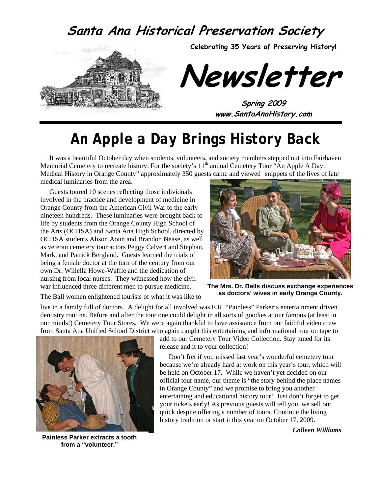### **Santa Ana Historical Preservation Society**



**Celebrating 35 Years of Preserving History!** 

**Newsletter** 

**Spring 2009 www.SantaAnaHistory.com** 

# *An Apple a Day Brings History Back*

It was a beautiful October day when students, volunteers, and society members stepped out into Fairhaven Memorial Cemetery to recreate history. For the society's 11<sup>th</sup> annual Cemetery Tour "An Apple A Day: Medical History in Orange County" approximately 350 guests came and viewed snippets of the lives of late medical luminaries from the area.

Guests toured 10 scenes reflecting those individuals involved in the practice and development of medicine in Orange County from the American Civil War to the early nineteen hundreds. These luminaries were brought back to life by students from the Orange County High School of the Arts (OCHSA) and Santa Ana High School, directed by OCHSA students Alison Aoun and Brandon Nease, as well as veteran cemetery tour actors Peggy Calvert and Stephan, Mark, and Patrick Bergland. Guests learned the trials of being a female doctor at the turn of the century from our own Dr. Willella Howe-Waffle and the dedication of nursing from local nurses. They witnessed how the civil war influenced three different men to pursue medicine.



**The Mrs. Dr. Balls discuss exchange experiences as doctors' wives in early Orange County.** 

The Ball women enlightened tourists of what it was like to

live in a family full of doctors. A delight for all involved was E.R. "Painless" Parker's entertainment driven dentistry routine. Before and after the tour one could delight in all sorts of goodies at our famous (at least in our minds!) Cemetery Tour Stores. We were again thankful to have assistance from our faithful video crew from Santa Ana Unified School District who again caught this entertaining and informational tour on tape to



**Painless Parker extracts a tooth from a "volunteer."** 

add to our Cemetery Tour Video Collection. Stay tuned for its release and it to your collection!

Don't fret if you missed last year's wonderful cemetery tour because we're already hard at work on this year's tour, which will be held on October 17. While we haven't yet decided on our official tour name, our theme is "the story behind the place names in Orange County" and we promise to bring you another entertaining and educational history tour! Just don't forget to get your tickets early! As previous guests will tell you, we sell out quick despite offering a number of tours. Continue the living history tradition or start it this year on October 17, 2009.

*Colleen Williams*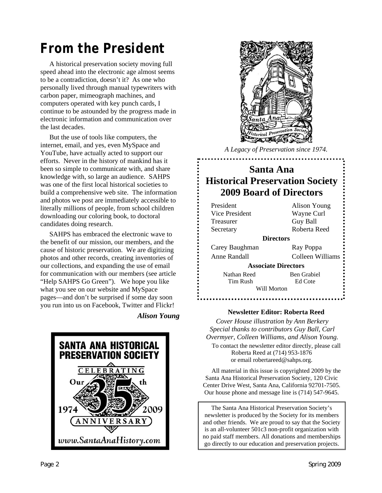# *From the President*

A historical preservation society moving full speed ahead into the electronic age almost seems to be a contradiction, doesn't it? As one who personally lived through manual typewriters with carbon paper, mimeograph machines, and computers operated with key punch cards, I continue to be astounded by the progress made in electronic information and communication over the last decades.

But the use of tools like computers, the internet, email, and yes, even MySpace and YouTube, have actually acted to support our efforts. Never in the history of mankind has it been so simple to communicate with, and share knowledge with, so large an audience. SAHPS was one of the first local historical societies to build a comprehensive web site. The information and photos we post are immediately accessible to literally millions of people, from school children downloading our coloring book, to doctoral candidates doing research.

SAHPS has embraced the electronic wave to the benefit of our mission, our members, and the cause of historic preservation. We are digitizing photos and other records, creating inventories of our collections, and expanding the use of email for communication with our members (see article "Help SAHPS Go Green"). We hope you like what you see on our website and MySpace pages—and don't be surprised if some day soon you run into us on Facebook, Twitter and Flickr!

*Alison Young* 





*A Legacy of Preservation since 1974.* 

### **Santa Ana Historical Preservation Society 2009 Board of Directors**

| President        | Alison Young               |  |
|------------------|----------------------------|--|
| Vice President   | Wayne Curl                 |  |
| Treasurer        | Guy Ball                   |  |
| Secretary        | Roberta Reed               |  |
| <b>Directors</b> |                            |  |
| Carey Baughman   | Ray Poppa                  |  |
| Anne Randall     | Colleen Williams           |  |
|                  | <b>Associate Directors</b> |  |
| Nathan Reed      | Ben Grabiel                |  |
| Tim Rush         | Ed Cote                    |  |
| Will Morton      |                            |  |
|                  |                            |  |

#### **Newsletter Editor: Roberta Reed**

*Cover House illustration by Ann Berkery Special thanks to contributors Guy Ball, Carl Overmyer, Colleen Williams, and Alison Young.*  To contact the newsletter editor directly, please call Roberta Reed at (714) 953-1876 or email robertareed@sahps.org.

All material in this issue is copyrighted 2009 by the Santa Ana Historical Preservation Society, 120 Civic Center Drive West, Santa Ana, California 92701-7505. Our house phone and message line is (714) 547-9645.

The Santa Ana Historical Preservation Society's newsletter is produced by the Society for its members and other friends. We are proud to say that the Society is an all-volunteer 501c3 non-profit organization with no paid staff members. All donations and memberships go directly to our education and preservation projects.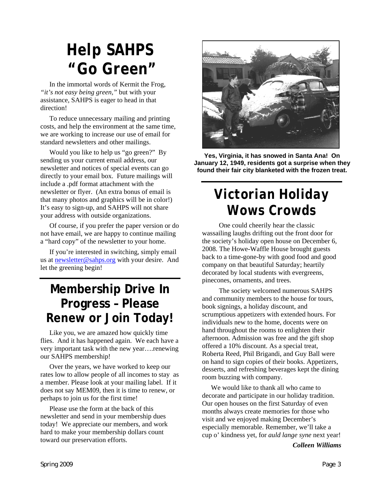# *Help SAHPS "Go Green"*

In the immortal words of Kermit the Frog, *"it's not easy being green,"* but with your assistance, SAHPS is eager to head in that direction!

To reduce unnecessary mailing and printing costs, and help the environment at the same time, we are working to increase our use of email for standard newsletters and other mailings.

Would you like to help us "go green?" By sending us your current email address, our newsletter and notices of special events can go directly to your email box. Future mailings will include a .pdf format attachment with the newsletter or flyer. (An extra bonus of email is that many photos and graphics will be in color!) It's easy to sign-up, and SAHPS will not share your address with outside organizations.

Of course, if you prefer the paper version or do not have email, we are happy to continue mailing a "hard copy" of the newsletter to your home.

If you're interested in switching, simply email us at [newsletter@sahps.org](mailto:newsletter@sahps.org) with your desire. And let the greening begin!

## **Membership Drive In Progress – Please Renew or Join Today!**

Like you, we are amazed how quickly time flies. And it has happened again. We each have a very important task with the new year….renewing our SAHPS membership!

Over the years, we have worked to keep our rates low to allow people of all incomes to stay as a member. Please look at your mailing label. If it does not say MEM09, then it is time to renew, or perhaps to join us for the first time!

Please use the form at the back of this newsletter and send in your membership dues today! We appreciate our members, and work hard to make your membership dollars count toward our preservation efforts.



**Yes, Virginia, it has snowed in Santa Ana! On January 12, 1949, residents got a surprise when they found their fair city blanketed with the frozen treat.** 

# *Victorian Holiday Wows Crowds*

One could cheerily hear the classic wassailing laughs drifting out the front door for the society's holiday open house on December 6, 2008. The Howe-Waffle House brought guests back to a time-gone-by with good food and good company on that beautiful Saturday; heartily decorated by local students with evergreens, pinecones, ornaments, and trees.

The society welcomed numerous SAHPS and community members to the house for tours, book signings, a holiday discount, and scrumptious appetizers with extended hours. For individuals new to the home, docents were on hand throughout the rooms to enlighten their afternoon. Admission was free and the gift shop offered a 10% discount. As a special treat, Roberta Reed, Phil Brigandi, and Guy Ball were on hand to sign copies of their books. Appetizers, desserts, and refreshing beverages kept the dining room buzzing with company.

We would like to thank all who came to decorate and participate in our holiday tradition. Our open houses on the first Saturday of even months always create memories for those who visit and we enjoyed making December's especially memorable. Remember, we'll take a cup o' kindness yet, for *auld lange syne* next year!

*Colleen Williams*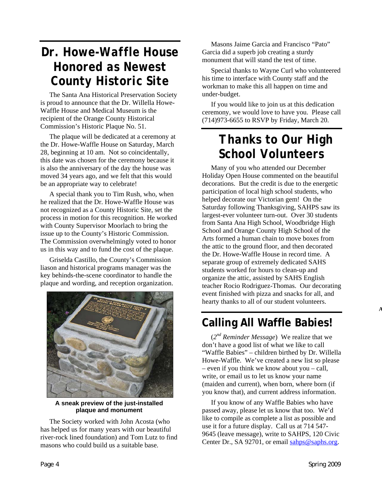## *Dr. Howe-Waffle House Honored as Newest County Historic Site*

The Santa Ana Historical Preservation Society is proud to announce that the Dr. Willella Howe-Waffle House and Medical Museum is the recipient of the Orange County Historical Commission's Historic Plaque No. 51.

The plaque will be dedicated at a ceremony at the Dr. Howe-Waffle House on Saturday, March 28, beginning at 10 am. Not so coincidentally, this date was chosen for the ceremony because it is also the anniversary of the day the house was moved 34 years ago, and we felt that this would be an appropriate way to celebrate!

A special thank you to Tim Rush, who, when he realized that the Dr. Howe-Waffle House was not recognized as a County Historic Site, set the process in motion for this recognition. He worked with County Supervisor Moorlach to bring the issue up to the County's Historic Commission. The Commission overwhelmingly voted to honor us in this way and to fund the cost of the plaque.

Griselda Castillo, the County's Commission liason and historical programs manager was the key behinds-the-scene coordinator to handle the plaque and wording, and reception organization.



**A sneak preview of the just-installed plaque and monument** 

The Society worked with John Acosta (who has helped us for many years with our beautiful river-rock lined foundation) and Tom Lutz to find masons who could build us a suitable base.

Masons Jaime Garcia and Francisco "Pato" Garcia did a superb job creating a sturdy monument that will stand the test of time.

Special thanks to Wayne Curl who volunteered his time to interface with County staff and the workman to make this all happen on time and under-budget.

If you would like to join us at this dedication ceremony, we would love to have you. Please call (714)973-6655 to RSVP by Friday, March 20.

## *Thanks to Our High School Volunteers*

Many of you who attended our December Holiday Open House commented on the beautiful decorations. But the credit is due to the energetic participation of local high school students, who helped decorate our Victorian gem! On the Saturday following Thanksgiving, SAHPS saw its largest-ever volunteer turn-out. Over 30 students from Santa Ana High School, Woodbridge High School and Orange County High School of the Arts formed a human chain to move boxes from the attic to the ground floor, and then decorated the Dr. Howe-Waffle House in record time. A separate group of extremely dedicated SAHS students worked for hours to clean-up and organize the attic, assisted by SAHS English teacher Rocio Rodriguez-Thomas. Our decorating event finished with pizza and snacks for all, and hearty thanks to all of our student volunteers.

### **Calling All Waffle Babies!**

(*2nd Reminder Message*) We realize that we don't have a good list of what we like to call "Waffle Babies" – children birthed by Dr. Willella Howe-Waffle. We've created a new list so please – even if you think we know about you – call, write, or email us to let us know your name (maiden and current), when born, where born (if you know that), and current address information.

If you know of any Waffle Babies who have passed away, please let us know that too. We'd like to compile as complete a list as possible and use it for a future display. Call us at 714 547- 9645 (leave message), write to SAHPS, 120 Civic Center Dr., SA 92701, or email [sahps@saphs.org](mailto:sahps@saphs.org).

**A**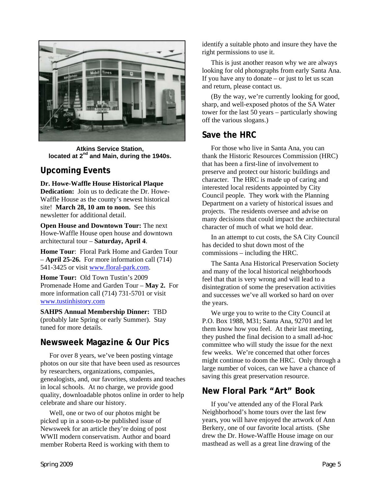

**Atkins Service Station, located at 2nd and Main, during the 1940s.** 

#### **Upcoming Events**

#### **Dr. Howe-Waffle House Historical Plaque**

**Dedication:** Join us to dedicate the Dr. Howe-Waffle House as the county's newest historical site! **March 28, 10 am to noon.** See this newsletter for additional detail.

**Open House and Downtown Tour:** The next Howe-Waffle House open house and downtown architectural tour – **Saturday, April 4**.

**Home Tour**: Floral Park Home and Garden Tour – **April 25-26.** For more information call (714) 541-3425 or visit [www.floral-park.com.](http://www.floral-park.com/)

**Home Tour:** Old Town Tustin's 2009 Promenade Home and Garden Tour – **May 2.** For more information call (714) 731-5701 or visit [www.tustinhistory.com](http://www.tustinhistory.com/)

**SAHPS Annual Membership Dinner:** TBD (probably late Spring or early Summer). Stay tuned for more details.

#### **Newsweek Magazine & Our Pics**

For over 8 years, we've been posting vintage photos on our site that have been used as resources by researchers, organizations, companies, genealogists, and, our favorites, students and teaches in local schools. At no charge, we provide good quality, downloadable photos online in order to help celebrate and share our history.

Well, one or two of our photos might be picked up in a soon-to-be published issue of Newsweek for an article they're doing of post WWII modern conservatism. Author and board member Roberta Reed is working with them to identify a suitable photo and insure they have the right permissions to use it.

This is just another reason why we are always looking for old photographs from early Santa Ana. If you have any to donate – or just to let us scan and return, please contact us.

(By the way, we're currently looking for good, sharp, and well-exposed photos of the SA Water tower for the last 50 years – particularly showing off the various slogans.)

#### **Save the HRC**

For those who live in Santa Ana, you can thank the Historic Resources Commission (HRC) that has been a first-line of involvement to preserve and protect our historic buildings and character. The HRC is made up of caring and interested local residents appointed by City Council people. They work with the Planning Department on a variety of historical issues and projects. The residents oversee and advise on many decisions that could impact the architectural character of much of what we hold dear.

In an attempt to cut costs, the SA City Council has decided to shut down most of the commissions – including the HRC.

The Santa Ana Historical Preservation Society and many of the local historical neighborhoods feel that that is very wrong and will lead to a disintegration of some the preservation activities and successes we've all worked so hard on over the years.

We urge you to write to the City Council at P.O. Box 1988, M31; Santa Ana, 92701 and let them know how you feel. At their last meeting, they pushed the final decision to a small ad-hoc committee who will study the issue for the next few weeks. We're concerned that other forces might continue to doom the HRC. Only through a large number of voices, can we have a chance of saving this great preservation resource.

#### **New Floral Park "Art" Book**

If you've attended any of the Floral Park Neighborhood's home tours over the last few years, you will have enjoyed the artwork of Ann Berkery, one of our favorite local artists. (She drew the Dr. Howe-Waffle House image on our masthead as well as a great line drawing of the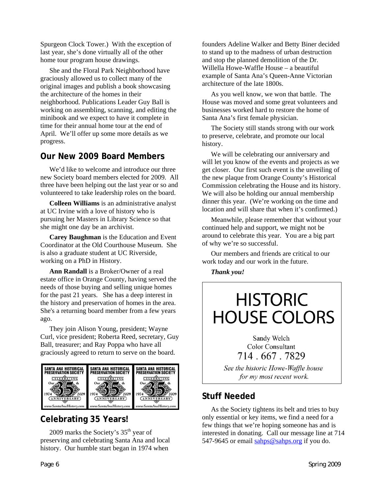Spurgeon Clock Tower.) With the exception of last year, she's done virtually all of the other home tour program house drawings.

She and the Floral Park Neighborhood have graciously allowed us to collect many of the original images and publish a book showcasing the architecture of the homes in their neighborhood. Publications Leader Guy Ball is working on assembling, scanning, and editing the minibook and we expect to have it complete in time for their annual home tour at the end of April. We'll offer up some more details as we progress.

#### **Our New 2009 Board Members**

We'd like to welcome and introduce our three new Society board members elected for 2009. All three have been helping out the last year or so and volunteered to take leadership roles on the board.

**Colleen Williams** is an administrative analyst at UC Irvine with a love of history who is pursuing her Masters in Library Science so that she might one day be an archivist.

**Carey Baughman** is the Education and Event Coordinator at the Old Courthouse Museum. She is also a graduate student at UC Riverside, working on a PhD in History.

**Ann Randall** is a Broker/Owner of a real estate office in Orange County, having served the needs of those buying and selling unique homes for the past 21 years. She has a deep interest in the history and preservation of homes in the area. She's a returning board member from a few years ago.

They join Alison Young, president; Wayne Curl, vice president; Roberta Reed, secretary, Guy Ball, treasurer; and Ray Poppa who have all graciously agreed to return to serve on the board.



#### **Celebrating 35 Years!**

2009 marks the Society's  $35<sup>th</sup>$  year of preserving and celebrating Santa Ana and local history. Our humble start began in 1974 when

founders Adeline Walker and Betty Biner decided to stand up to the madness of urban destruction and stop the planned demolition of the Dr. Willella Howe-Waffle House – a beautiful example of Santa Ana's Queen-Anne Victorian architecture of the late 1800s.

As you well know, we won that battle. The House was moved and some great volunteers and businesses worked hard to restore the home of Santa Ana's first female physician.

The Society still stands strong with our work to preserve, celebrate, and promote our local history.

We will be celebrating our anniversary and will let you know of the events and projects as we get closer. Our first such event is the unveiling of the new plaque from Orange County's Historical Commission celebrating the House and its history. We will also be holding our annual membership dinner this year. (We're working on the time and location and will share that when it's confirmed.)

Meanwhile, please remember that without your continued help and support, we might not be around to celebrate this year. You are a big part of why we're so successful.

Our members and friends are critical to our work today and our work in the future.

*Thank you!* 

# **HISTORIC HOUSE COLORS**

Sandy Welch **Color Consultant** 714, 667, 7829

See the historic Howe-Waffle house for my most recent work.

#### **Stuff Needed**

As the Society tightens its belt and tries to buy only essential or key items, we find a need for a few things that we're hoping someone has and is interested in donating. Call our message line at 714 547-9645 or email [sahps@sahps.org](mailto:sahps@sahps.org) if you do.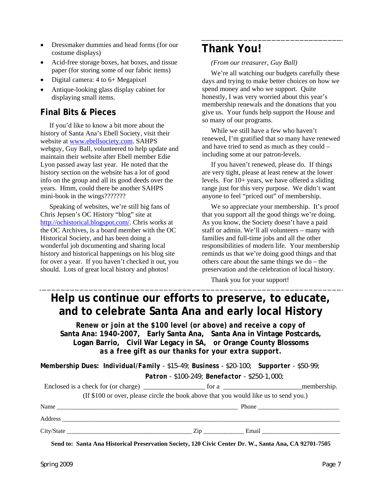- Dressmaker dummies and head forms (for our **Thank You!** costume displays)
- Acid-free storage boxes, hat boxes, and tissue paper (for storing some of our fabric items)
- Digital camera: 4 to 6+ Megapixel
- Antique-looking glass display cabinet for displaying small items.

#### **Final Bits & Pieces**

If you'd like to know a bit more about the history of Santa Ana's Ebell Society, visit their website at [www.ebellsociety.com.](http://www.ebellsociety.com/) SAHPS webguy, Guy Ball, volunteered to help update and maintain their website after Ebell member Edie Lyon passed away last year. He noted that the history section on the website has a lot of good info on the group and all its good deeds over the years. Hmm, could there be another SAHPS mini-book in the wings????????

Speaking of websites, we're still big fans of Chris Jepsen's OC History "blog" site at [http://ochistorical.blogspot.com/.](http://ochistorical.blogspot.com/) Chris works at the OC Archives, is a board member with the OC Historical Society, and has been doing a wonderful job documenting and sharing local history and historical happenings on his blog site for over a year. If you haven't checked it out, you should. Lots of great local history and photos!

*(From our treasurer, Guy Ball)* 

We're all watching our budgets carefully these days and trying to make better choices on how we spend money and who we support. Quite honestly, I was very worried about this year's membership renewals and the donations that you give us. Your funds help support the House and so many of our programs.

While we still have a few who haven't renewed, I'm gratified that so many have renewed and have tried to send as much as they could – including some at our patron-levels.

If you haven't renewed, please do. If things are very tight, please at least renew at the lower levels. For 10+ years, we have offered a sliding range just for this very purpose. We didn't want anyone to feel "priced out" of membership.

We so appreciate your membership. It's proof that you support all the good things we're doing. As you know, the Society doesn't have a paid staff or admin. We'll all volunteers – many with families and full-time jobs and all the other responsibilities of modern life. Your membership reminds us that we're doing good things and that others care about the same things we do – the preservation and the celebration of local history.

Thank you for your support!

### **Help us continue our efforts to preserve, to educate, and to celebrate Santa Ana and early local History**

*Renew or join at the \$100 level (or above) and receive a copy of*  **Santa Ana: 1940-2007***,* **Early Santa Ana, Santa Ana in Vintage Postcards, Logan Barrio, Civil War Legacy in SA,** *or* **Orange County Blossoms** *as a free gift as our thanks for your extra support.* 

**Membership Dues:** *Individual/Family - \$15-49; Business - \$20-100; Supporter - \$50-99; Patron - \$100-249; Benefactor - \$250-1,000;* 

| Enclosed is a check for (or charge) for a |                                                                                      | membership. |
|-------------------------------------------|--------------------------------------------------------------------------------------|-------------|
|                                           | (If \$100 or over, please circle the book above that you would like us to send you.) |             |
| Name                                      |                                                                                      |             |
| Address                                   |                                                                                      |             |
| City/State                                | $\overline{Z}$ ip                                                                    | Email       |

**Send to: Santa Ana Historical Preservation Society, 120 Civic Center Dr. W., Santa Ana, CA 92701-7505**